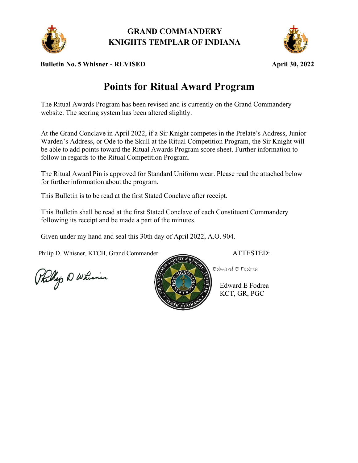

**GRAND COMMANDERY KNIGHTS TEMPLAR OF INDIANA**



**Bulletin No. 5 Whisner - REVISED April 30, 2022**

## **Points for Ritual Award Program**

The Ritual Awards Program has been revised and is currently on the Grand Commandery website. The scoring system has been altered slightly.

At the Grand Conclave in April 2022, if a Sir Knight competes in the Prelate's Address, Junior Warden's Address, or Ode to the Skull at the Ritual Competition Program, the Sir Knight will be able to add points toward the Ritual Awards Program score sheet. Further information to follow in regards to the Ritual Competition Program.

The Ritual Award Pin is approved for Standard Uniform wear. Please read the attached below for further information about the program.

This Bulletin is to be read at the first Stated Conclave after receipt.

This Bulletin shall be read at the first Stated Conclave of each Constituent Commandery following its receipt and be made a part of the minutes.

Given under my hand and seal this 30th day of April 2022, A.O. 904.

Philip D. Whisner, KTCH, Grand Commander ATTESTED:

Phillip D Whimin



Edward E Fodrea KCT, GR, PGC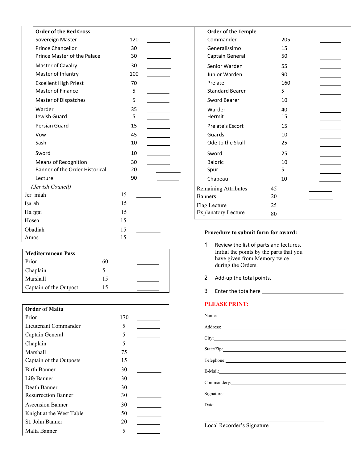| <b>Order of the Red Cross</b>  |     | <b>Order of the Temple</b>                               |     |
|--------------------------------|-----|----------------------------------------------------------|-----|
| Sovereign Master               | 120 | Commander                                                | 205 |
| <b>Prince Chancellor</b>       | 30  | Generalissimo                                            | 15  |
| Prince Master of the Palace    | 30  | Captain General                                          | 50  |
| Master of Cavalry              | 30  | Senior Warden                                            | 55  |
| Master of Infantry             | 100 | Junior Warden                                            | 90  |
| <b>Excellent High Priest</b>   | 70  | Prelate                                                  | 160 |
| <b>Master of Finance</b>       | 5   | <b>Standard Bearer</b>                                   | 5   |
| Master of Dispatches           | 5   | Sword Bearer                                             | 10  |
| Warder                         | 35  | Warder                                                   | 40  |
| Jewish Guard                   | 5   | Hermit                                                   | 15  |
| Persian Guard                  | 15  | Prelate's Escort                                         | 15  |
| Vow                            | 45  | Guards                                                   | 10  |
| Sash                           | 10  | Ode to the Skull                                         | 25  |
| Sword                          | 10  | Sword                                                    | 25  |
| <b>Means of Recognition</b>    | 30  | <b>Baldric</b>                                           | 10  |
| Banner of the Order Historical | 20  | Spur                                                     | 5   |
| Lecture                        | 90  | Chapeau                                                  | 10  |
| (Jewish Council)               |     | <b>Remaining Attributes</b>                              | 45  |
| Jer miah                       | 15  | <b>Banners</b>                                           | 20  |
| Isa ah                         | 15  | Flag Lecture                                             | 25  |
| Ha zgai                        | 15  | <b>Explanatory Lecture</b>                               | 80  |
| Hosea                          | 15  |                                                          |     |
| Obadiah                        | 15  | Procedure to submit form for award:                      |     |
| Amos                           | 15  |                                                          |     |
|                                |     | 1 <sub>1</sub><br>Review the list of parts and lectures. |     |
| <b>Mediterranean Pass</b>      |     | Initial the points by the parts that you                 |     |
| Prior                          | 60  | have given from Memory twice<br>during the Orders.       |     |
| Chaplain                       | 5   |                                                          |     |

| <b>Order of Malta</b>      |     |
|----------------------------|-----|
| Prior                      | 170 |
| Lieutenant Commander       | 5   |
| Captain General            | 5   |
| Chaplain                   | 5   |
| Marshall                   | 75  |
| Captain of the Outposts    | 15  |
| <b>Birth Banner</b>        | 30  |
| Life Banner                | 30  |
| Death Banner               | 30  |
| <b>Resurrection Banner</b> | 30  |
| <b>Ascension Banner</b>    | 30  |
| Knight at the West Table   | 50  |
| St. John Banner            | 20  |
| Malta Banner               | 5   |

Marshall 15 Captain of the Outpost 15

| <b>Order of the Temple</b> |    |     |  |
|----------------------------|----|-----|--|
| Commander                  |    | 205 |  |
| Generalissimo              |    | 15  |  |
| Captain General            |    | 50  |  |
| Senior Warden              |    | 55  |  |
| Junior Warden              |    | 90  |  |
| Prelate                    |    | 160 |  |
| <b>Standard Bearer</b>     | 5  |     |  |
| Sword Bearer               |    | 10  |  |
| Warder                     |    | 40  |  |
| Hermit                     |    | 15  |  |
| <b>Prelate's Escort</b>    |    | 15  |  |
| Guards                     |    | 10  |  |
| Ode to the Skull           |    | 25  |  |
| Sword                      |    | 25  |  |
| <b>Baldric</b>             |    | 10  |  |
| Spur                       | 5  |     |  |
| Chapeau                    |    | 10  |  |
| Remaining Attributes       | 45 |     |  |
| Banners                    | 20 |     |  |
| Flag Lecture               | 25 |     |  |
| <b>Explanatory Lecture</b> | 80 |     |  |
|                            |    |     |  |

## **Procedure to submit form for award:**

- 1. Review the list of parts and lectures. Initial the points by the parts that you have given from Memory twice during the Orders.
- 2. Add-up the total points.
- 3. Enter the totalhere

## **PLEASE PRINT:**

| Name: Name and the second contract of the second contract of the second contract of the second contract of the second contract of the second contract of the second contract of the second contract of the second contract of |
|-------------------------------------------------------------------------------------------------------------------------------------------------------------------------------------------------------------------------------|
|                                                                                                                                                                                                                               |
|                                                                                                                                                                                                                               |
|                                                                                                                                                                                                                               |
|                                                                                                                                                                                                                               |
|                                                                                                                                                                                                                               |
|                                                                                                                                                                                                                               |
|                                                                                                                                                                                                                               |
| Telephone:                                                                                                                                                                                                                    |
|                                                                                                                                                                                                                               |
| E-Mail: New York Contract the Contract of the Contract of the Contract of the Contract of the Contract of the Contract of the Contract of the Contract of the Contract of the Contract of the Contract of the Contract of the |
|                                                                                                                                                                                                                               |
|                                                                                                                                                                                                                               |
| Signature:                                                                                                                                                                                                                    |
|                                                                                                                                                                                                                               |
|                                                                                                                                                                                                                               |
|                                                                                                                                                                                                                               |

Local Recorder's Signature